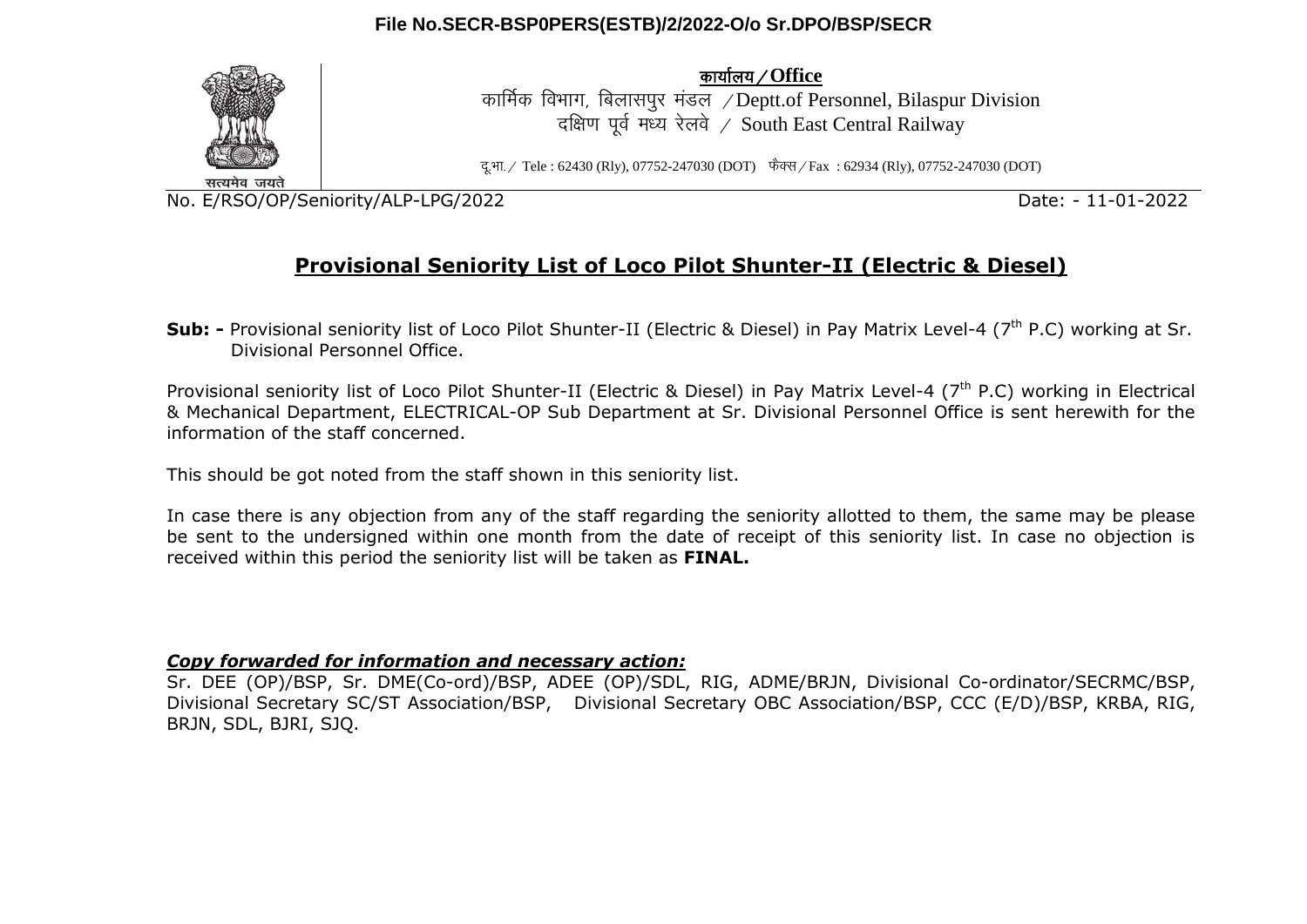### **File No.SECR-BSP0PERS(ESTB)/2/2022-O/o Sr.DPO/BSP/SECR**



dk;kZy;@**Office**

कार्मिक विभाग, बिलासपर मंडल /Deptt.of Personnel, Bilaspur Division दक्षिण पूर्व मध्य रेलवे / South East Central Railway

दु.भा. / Tele : 62430 (Rly), 07752-247030 (DOT) फैक्स / Fax : 62934 (Rly), 07752-247030 (DOT)

No. E/RSO/OP/Seniority/ALP-LPG/2022 Date: - 11-01-2022

# **Provisional Seniority List of Loco Pilot Shunter-II (Electric & Diesel)**

**Sub:** - Provisional seniority list of Loco Pilot Shunter-II (Electric & Diesel) in Pay Matrix Level-4 (7<sup>th</sup> P.C) working at Sr. Divisional Personnel Office.

Provisional seniority list of Loco Pilot Shunter-II (Electric & Diesel) in Pay Matrix Level-4 (7<sup>th</sup> P.C) working in Electrical & Mechanical Department, ELECTRICAL-OP Sub Department at Sr. Divisional Personnel Office is sent herewith for the information of the staff concerned.

This should be got noted from the staff shown in this seniority list.

In case there is any objection from any of the staff regarding the seniority allotted to them, the same may be please be sent to the undersigned within one month from the date of receipt of this seniority list. In case no objection is received within this period the seniority list will be taken as **FINAL.**

#### *Copy forwarded for information and necessary action:*

Sr. DEE (OP)/BSP, Sr. DME(Co-ord)/BSP, ADEE (OP)/SDL, RIG, ADME/BRJN, Divisional Co-ordinator/SECRMC/BSP, Divisional Secretary SC/ST Association/BSP, Divisional Secretary OBC Association/BSP, CCC (E/D)/BSP, KRBA, RIG, BRJN, SDL, BJRI, SJQ.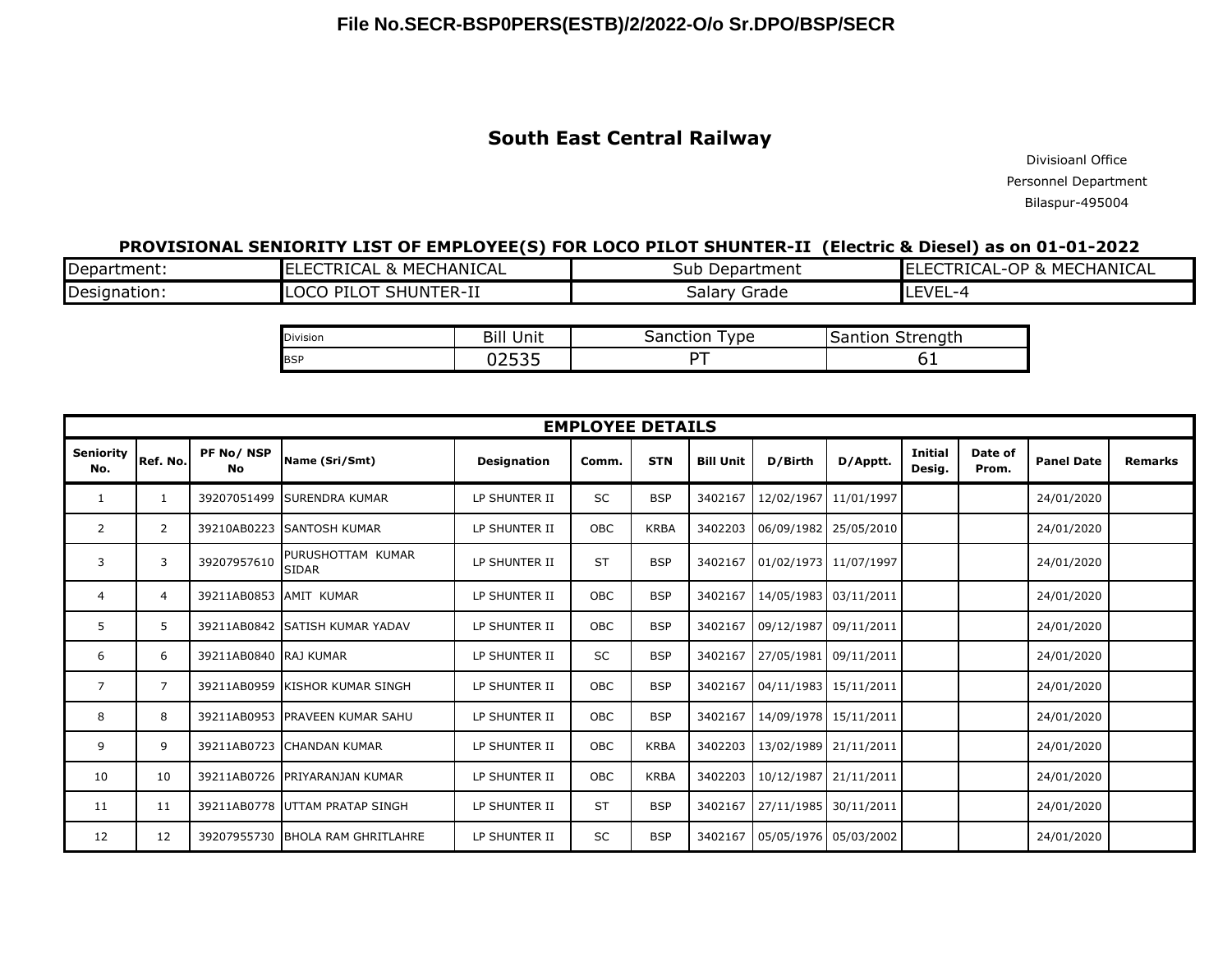## **South East Central Railway**

Divisioanl Office Personnel Department Bilaspur-495004

#### **PROVISIONAL SENIORITY LIST OF EMPLOYEE(S) FOR LOCO PILOT SHUNTER-II (Electric & Diesel) as on 01-01-2022**

| Department:  | ECHANICAL<br>$\overline{\phantom{a}}$<br>--<br>I RIC.<br>AL<br>MEL<br>$\mathbf{u}$<br>- - | Department<br>Sub | <b>HANICAL</b><br>OP.<br><b>MEC'</b><br>7 R L'<br>AL<br>$\overline{\phantom{0}}$<br>α |
|--------------|-------------------------------------------------------------------------------------------|-------------------|---------------------------------------------------------------------------------------|
| Designation: | $\mathcal{L}$<br>SHUNTER-II<br>$\cdots \cap \cap \cap$<br>DTI<br>'ILU<br>UUJ.             | Grade<br>۔alarvد  | コハロ<br>-- - - -                                                                       |

| Division<br> | Unit<br>ыш      | ∖anction<br>vpe<br>הכ | <u>.</u><br>`*renath<br>$   -$ |
|--------------|-----------------|-----------------------|--------------------------------|
| <b>BSP</b>   | $- - -$<br>---- | --                    | ັ                              |

| <b>EMPLOYEE DETAILS</b> |                |                        |                                   |                    |            |             |                  |                       |                       |                          |                  |                   |                |
|-------------------------|----------------|------------------------|-----------------------------------|--------------------|------------|-------------|------------------|-----------------------|-----------------------|--------------------------|------------------|-------------------|----------------|
| <b>Seniority</b><br>No. | Ref. No.       | PF No/NSP<br><b>No</b> | Name (Sri/Smt)                    | <b>Designation</b> | Comm.      | <b>STN</b>  | <b>Bill Unit</b> | D/Birth               | D/Apptt.              | <b>Initial</b><br>Desig. | Date of<br>Prom. | <b>Panel Date</b> | <b>Remarks</b> |
| 1                       | 1              |                        | 39207051499 SURENDRA KUMAR        | LP SHUNTER II      | SC         | <b>BSP</b>  | 3402167          |                       | 12/02/1967 11/01/1997 |                          |                  | 24/01/2020        |                |
| 2                       | $\overline{2}$ |                        | 39210AB0223 SANTOSH KUMAR         | LP SHUNTER II      | <b>OBC</b> | <b>KRBA</b> | 3402203          |                       | 06/09/1982 25/05/2010 |                          |                  | 24/01/2020        |                |
| 3                       | 3              | 39207957610            | PURUSHOTTAM KUMAR<br><b>SIDAR</b> | LP SHUNTER II      | <b>ST</b>  | <b>BSP</b>  | 3402167          | 01/02/1973 11/07/1997 |                       |                          |                  | 24/01/2020        |                |
| 4                       | $\overline{4}$ | 39211AB0853 AMIT KUMAR |                                   | LP SHUNTER II      | <b>OBC</b> | <b>BSP</b>  | 3402167          |                       | 14/05/1983 03/11/2011 |                          |                  | 24/01/2020        |                |
| 5                       | 5              |                        | 39211AB0842 SATISH KUMAR YADAV    | LP SHUNTER II      | <b>OBC</b> | <b>BSP</b>  | 3402167          |                       | 09/12/1987 09/11/2011 |                          |                  | 24/01/2020        |                |
| 6                       | 6              | 39211AB0840 RAJ KUMAR  |                                   | LP SHUNTER II      | <b>SC</b>  | <b>BSP</b>  | 3402167          |                       | 27/05/1981 09/11/2011 |                          |                  | 24/01/2020        |                |
| 7                       | $\overline{7}$ |                        | 39211AB0959 KISHOR KUMAR SINGH    | LP SHUNTER II      | <b>OBC</b> | <b>BSP</b>  | 3402167          |                       | 04/11/1983 15/11/2011 |                          |                  | 24/01/2020        |                |
| 8                       | 8              |                        | 39211AB0953 PRAVEEN KUMAR SAHU    | LP SHUNTER II      | <b>OBC</b> | <b>BSP</b>  | 3402167          |                       | 14/09/1978 15/11/2011 |                          |                  | 24/01/2020        |                |
| 9                       | 9              |                        | 39211AB0723 CHANDAN KUMAR         | LP SHUNTER II      | <b>OBC</b> | <b>KRBA</b> | 3402203          |                       | 13/02/1989 21/11/2011 |                          |                  | 24/01/2020        |                |
| 10                      | 10             |                        | 39211AB0726 PRIYARANJAN KUMAR     | LP SHUNTER II      | <b>OBC</b> | <b>KRBA</b> | 3402203          |                       | 10/12/1987 21/11/2011 |                          |                  | 24/01/2020        |                |
| 11                      | 11             |                        | 39211AB0778 UTTAM PRATAP SINGH    | LP SHUNTER II      | <b>ST</b>  | <b>BSP</b>  | 3402167          |                       | 27/11/1985 30/11/2011 |                          |                  | 24/01/2020        |                |
| 12                      | 12             |                        | 39207955730 BHOLA RAM GHRITLAHRE  | LP SHUNTER II      | SC         | <b>BSP</b>  | 3402167          | 05/05/1976 05/03/2002 |                       |                          |                  | 24/01/2020        |                |